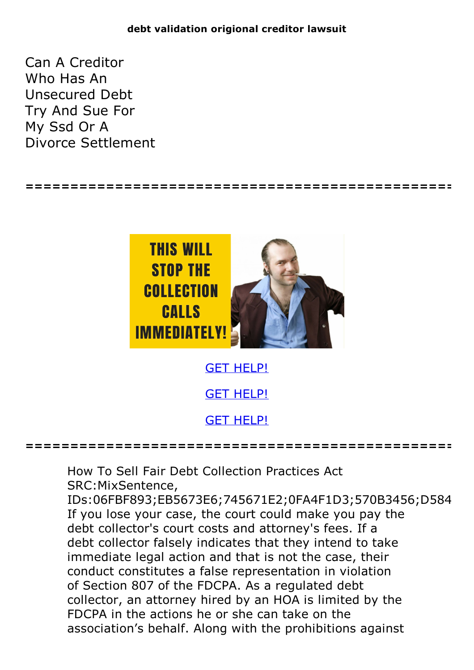**================================================**

Can A Creditor Who Has An Unsecured Debt Try And Sue For My Ssd Or A Divorce Settlement



GET [HELP!](https://runpdf.xyz/pdf)

**================================================**

How To Sell Fair Debt Collection Practices Act SRC:MixSentence,

IDs:06FBF893;EB5673E6;745671E2;0FA4F1D3;570B3456;D584 If you lose your case, the court could make you pay the debt collector's court costs and attorney's fees. If a debt collector falsely indicates that they intend to take immediate legal action and that is not the case, their conduct constitutes a false representation in violation of Section 807 of the FDCPA. As a regulated debt collector, an attorney hired by an HOA is limited by the FDCPA in the actions he or she can take on the association's behalf. Along with the prohibitions against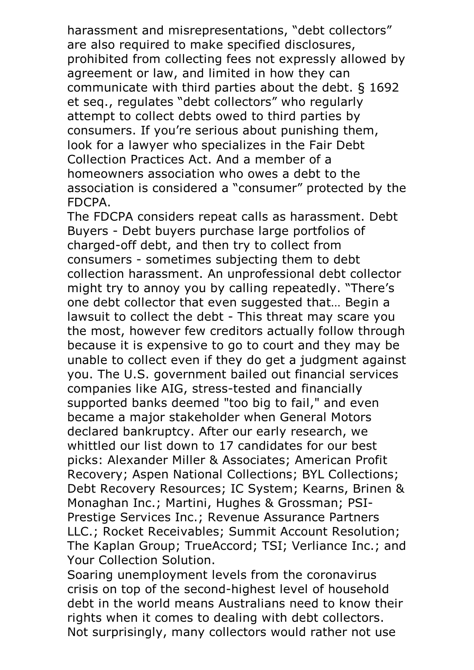harassment and misrepresentations, "debt collectors" are also required to make specified disclosures, prohibited from collecting fees not expressly allowed by agreement or law, and limited in how they can communicate with third parties about the debt. § 1692 et seq., regulates "debt collectors" who regularly attempt to collect debts owed to third parties by consumers. If you're serious about punishing them, look for a lawyer who specializes in the Fair Debt Collection Practices Act. And a member of a homeowners association who owes a debt to the association is considered a "consumer" protected by the

FDCPA.<br>The FDCPA considers repeat calls as harassment. Debt Buyers - Debt buyers purchase large portfolios of charged-off debt, and then try to collect from consumers - sometimes subjecting them to debt collection harassment. An unprofessional debt collector might try to annoy you by calling repeatedly. "There's one debt collector that even suggested that… Begin a lawsuit to collect the debt - This threat may scare you the most, however few creditors actually follow through because it is expensive to go to court and they may be unable to collect even if they do get a judgment against you. The U.S. government bailed out financial services companies like AIG, stress-tested and financially supported banks deemed "too big to fail," and even became a major stakeholder when General Motors declared bankruptcy. After our early research, we whittled our list down to 17 candidates for our best picks: Alexander Miller & Associates; American Profit Recovery; Aspen National Collections; BYL Collections; Debt Recovery Resources; IC System; Kearns, Brinen & Monaghan Inc.; Martini, Hughes & Grossman; PSI-Prestige Services Inc.; Revenue Assurance Partners LLC.; Rocket Receivables; Summit Account Resolution; The Kaplan Group; TrueAccord; TSI; Verliance Inc.; and Your Collection Solution. Soaring unemployment levels from the coronavirus

crisis on top of the second-highest level of household debt in the world means Australians need to know their rights when it comes to dealing with debt collectors. Not surprisingly, many collectors would rather not use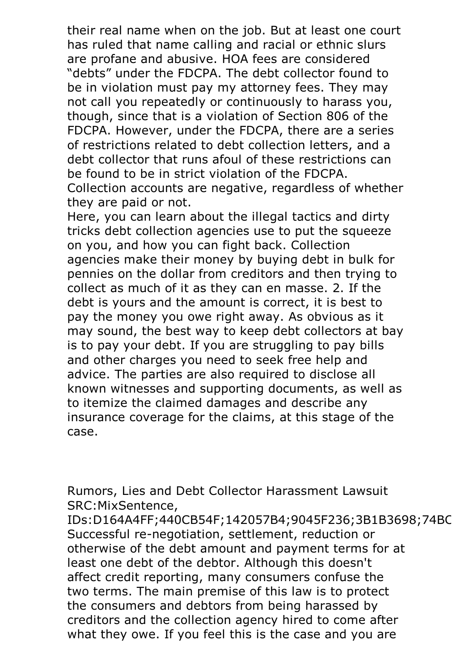their real name when on the job. But at least one court has ruled that name calling and racial or ethnic slurs are profane and abusive. HOA fees are considered "debts" under the FDCPA. The debt collector found to be in violation must pay my attorney fees. They may not call you repeatedly or continuously to harass you, though, since that is a violation of Section 806 of the FDCPA. However, under the FDCPA, there are a series of restrictions related to debt collection letters, and a debt collector that runs afoul of these restrictions can be found to be in strict violation of the FDCPA. Collection accounts are negative, regardless of whether

they are paid or not.<br>Here, you can learn about the illegal tactics and dirty tricks debt collection agencies use to put the squeeze on you, and how you can fight back. Collection agencies make their money by buying debt in bulk for pennies on the dollar from creditors and then trying to collect as much of it as they can en masse. 2. If the debt is yours and the amount is correct, it is best to pay the money you owe right away. As obvious as it may sound, the best way to keep debt collectors at bay is to pay your debt. If you are struggling to pay bills and other charges you need to seek free help and advice. The parties are also required to disclose all known witnesses and supporting documents, as well as to itemize the claimed damages and describe any insurance coverage for the claims, at this stage of the case.

Rumors, Lies and Debt Collector Harassment Lawsuit SRC:MixSentence,<br>IDs:D164A4FF:440CB54F:142057B4:9045F236:3B1B3698:74BC

IDs:D164A4FF;440CB54F;142057B4;9045F236;3B1B3698;74BC Successful re-negotiation, settlement, reduction or otherwise of the debt amount and payment terms for at least one debt of the debtor. Although this doesn't affect credit reporting, many consumers confuse the two terms. The main premise of this law is to protect the consumers and debtors from being harassed by creditors and the collection agency hired to come after what they owe. If you feel this is the case and you are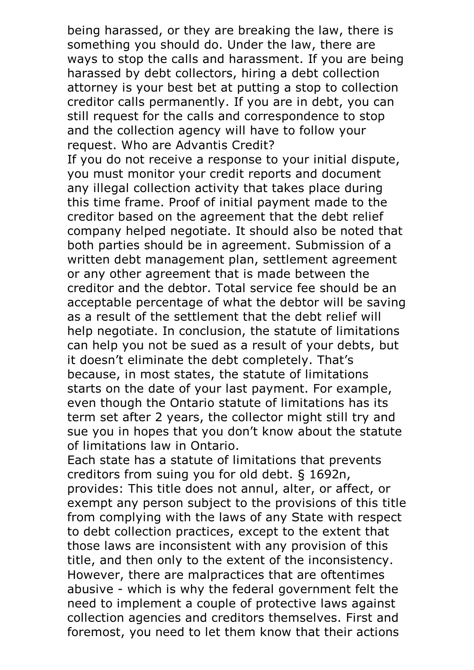being harassed, or they are breaking the law, there is something you should do. Under the law, there are ways to stop the calls and harassment. If you are being harassed by debt collectors, hiring a debt collection attorney is your best bet at putting a stop to collection creditor calls permanently. If you are in debt, you can still request for the calls and correspondence to stop and the collection agency will have to follow your request. Who are Advantis Credit?

If you do not receive a response to your initial dispute, you must monitor your credit reports and document any illegal collection activity that takes place during this time frame. Proof of initial payment made to the creditor based on the agreement that the debt relief company helped negotiate. It should also be noted that both parties should be in agreement. Submission of a written debt management plan, settlement agreement or any other agreement that is made between the creditor and the debtor. Total service fee should be an acceptable percentage of what the debtor will be saving as a result of the settlement that the debt relief will help negotiate. In conclusion, the statute of limitations can help you not be sued as a result of your debts, but it doesn't eliminate the debt completely. That's because, in most states, the statute of limitations starts on the date of your last payment. For example, even though the Ontario statute of limitations has its term set after 2 years, the collector might still try and sue you in hopes that you don't know about the statute

of limitations law in Ontario. Each state has <sup>a</sup> statute of limitations that prevents creditors from suing you for old debt. § 1692n, provides: This title does not annul, alter, or affect, or exempt any person subject to the provisions of this title from complying with the laws of any State with respect to debt collection practices, except to the extent that those laws are inconsistent with any provision of this title, and then only to the extent of the inconsistency. However, there are malpractices that are oftentimes abusive - which is why the federal government felt the need to implement a couple of protective laws against collection agencies and creditors themselves. First and foremost, you need to let them know that their actions